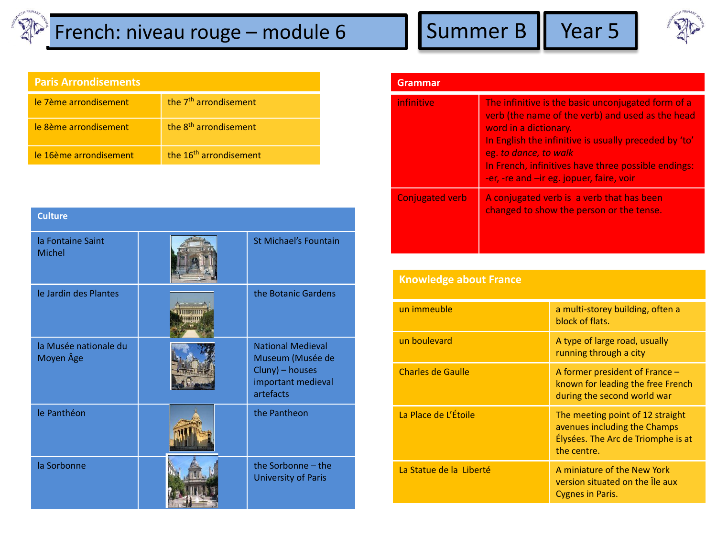## $\mathbb{Z}^{\mathbb{Z}}$  French: niveau rouge – module 6 Summer B | Year 5



| <b>Paris Arrondisements</b> |  |  |
|-----------------------------|--|--|
|                             |  |  |
|                             |  |  |

| le 7ème arrondisement  | the 7 <sup>th</sup> arrondisement  |
|------------------------|------------------------------------|
| le 8ème arrondisement  | the 8 <sup>th</sup> arrondisement  |
| le 16ème arrondisement | the 16 <sup>th</sup> arrondisement |

| <b>Culture</b>                     |                                                                                                    |
|------------------------------------|----------------------------------------------------------------------------------------------------|
| la Fontaine Saint<br>Michel        | St Michael's Fountain                                                                              |
| le Jardin des Plantes              | the Botanic Gardens                                                                                |
| la Musée nationale du<br>Moyen Âge | <b>National Medieval</b><br>Museum (Musée de<br>Cluny) - houses<br>important medieval<br>artefacts |
| le Panthéon                        | the Pantheon                                                                                       |
| la Sorbonne                        | the Sorbonne - the<br><b>University of Paris</b>                                                   |

| Grammar                |                                                                                                                                                                                                                                                                                                                      |
|------------------------|----------------------------------------------------------------------------------------------------------------------------------------------------------------------------------------------------------------------------------------------------------------------------------------------------------------------|
| infinitive             | The infinitive is the basic unconjugated form of a<br>verb (the name of the verb) and used as the head<br>word in a dictionary.<br>In English the infinitive is usually preceded by 'to'<br>eg. to dance, to walk<br>In French, infinitives have three possible endings:<br>-er, -re and -ir eg. jopuer, faire, voir |
| <b>Conjugated verb</b> | A conjugated verb is a verb that has been<br>changed to show the person or the tense.                                                                                                                                                                                                                                |

| <b>Knowledge about France</b> |                                                                                                                       |
|-------------------------------|-----------------------------------------------------------------------------------------------------------------------|
| un immeuble                   | a multi-storey building, often a<br>block of flats.                                                                   |
| un boulevard                  | A type of large road, usually<br>running through a city                                                               |
| <b>Charles de Gaulle</b>      | A former president of France $-$<br>known for leading the free French<br>during the second world war                  |
| La Place de L'Étoile          | The meeting point of 12 straight<br>avenues including the Champs<br>Élysées. The Arc de Triomphe is at<br>the centre. |
| La Statue de la Liberté       | A miniature of the New York<br>version situated on the le aux<br><b>Cygnes in Paris.</b>                              |